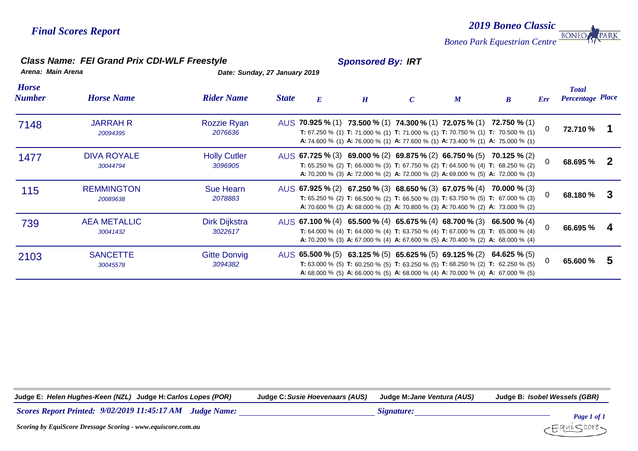### *2019 Boneo Classic* **BONEO** *Boneo Park Equestrian Centre*

### *Class Name: FEI Grand Prix CDI-WLF Freestyle Sponsored By: IRT*

*Arena: Main Arena Date: Sunday, 27 January 2019*

| <b>Horse</b><br>Number | <b>Horse Name</b>               | <b>Rider Name</b>               | <b>State</b> | $\boldsymbol{E}$ | H | $\boldsymbol{M}$ | $\boldsymbol{B}$                                                                                                                                                                                                                                                                                                 | Err      | <b>Total</b><br><b>Percentage Place</b> |   |
|------------------------|---------------------------------|---------------------------------|--------------|------------------|---|------------------|------------------------------------------------------------------------------------------------------------------------------------------------------------------------------------------------------------------------------------------------------------------------------------------------------------------|----------|-----------------------------------------|---|
| 7148                   | <b>JARRAH R</b><br>20094395     | Rozzie Ryan<br>2076636          |              |                  |   |                  | AUS 70.925 % (1) 73.500 % (1) 74.300 % (1) 72.075 % (1) 72.750 % (1)<br><b>T:</b> 67.250 % (1) <b>T:</b> 71.000 % (1) <b>T:</b> 71.000 % (1) <b>T:</b> 70.750 % (1) <b>T:</b> 70.500 % (1)<br><b>A:</b> 74.600 % (1) <b>A:</b> 76.000 % (1) <b>A:</b> 77.600 % (1) <b>A:</b> 73.400 % (1) <b>A:</b> 75.000 % (1) | $\Omega$ | 72.710 %                                |   |
| 1477                   | <b>DIVA ROYALE</b><br>30044794  | <b>Holly Cutler</b><br>3096905  |              |                  |   |                  | AUS 67.725 % (3) 69.000 % (2) 69.875 % (2) 66.750 % (5) 70.125 % (2)<br>T: 65.250 % (2) T: 66.000 % (3) T: 67.750 % (2) T: 64.500 % (4) T: 68.250 % (2)<br>A: 70.200 % (3) A: 72.000 % (2) A: 72.000 % (2) A: 69.000 % (5) A: 72.000 % (3)                                                                       | 0        | 68.695 %                                | 2 |
| 115                    | <b>REMMINGTON</b><br>20089638   | <b>Sue Hearn</b><br>2078883     |              |                  |   |                  | AUS 67.925 % (2) 67.250 % (3) 68.650 % (3) 67.075 % (4) 70.000 % (3)<br><b>T:</b> 65.250 % (2) <b>T:</b> 66.500 % (2) <b>T:</b> 66.500 % (3) <b>T:</b> 63.750 % (5) <b>T:</b> 67.000 % (3)<br>A: 70.600 % (2) A: 68.000 % (3) A: 70.800 % (3) A: 70.400 % (2) A: 73.000 % (2)                                    | 0        | 68.180 %                                |   |
| 739                    | <b>AEA METALLIC</b><br>30041432 | <b>Dirk Dijkstra</b><br>3022617 |              |                  |   |                  | AUS 67.100 % (4) 65.500 % (4) 65.675 % (4) 68.700 % (3) 66.500 % (4)<br><b>T:</b> 64.000 % (4) <b>T:</b> 64.000 % (4) <b>T:</b> 63.750 % (4) <b>T:</b> 67.000 % (3) <b>T:</b> 65.000 % (4)<br>A: 70.200 % (3) A: 67.000 % (4) A: 67.600 % (5) A: 70.400 % (2) A: 68.000 % (4)                                    | $\Omega$ | 66.695 %                                |   |
| 2103                   | <b>SANCETTE</b><br>30045578     | <b>Gitte Donvig</b><br>3094382  |              |                  |   |                  | AUS 65.500 % (5) 63.125 % (5) 65.625 % (5) 69.125 % (2) 64.625 % (5)<br>T: 63.000 % (5) T: 60.250 % (5) T: 63.250 % (5) T: 68.250 % (2) T: 62.250 % (5)<br><b>A:</b> 68.000 % (5) <b>A:</b> 66.000 % (5) <b>A:</b> 68.000 % (4) <b>A:</b> 70.000 % (4) <b>A:</b> 67.000 % (5)                                    | $\Omega$ | 65.600 %                                | 5 |

**Judge E:** *Helen Hughes-Keen (NZL)* **Judge H:***Carlos Lopes (POR)* **Judge C:***Susie Hoevenaars (AUS)* **Judge M:***Jane Ventura (AUS)* **Judge B:** *Isobel Wessels (GBR)*

*9/02/2019 11:45:17 AM Scores Report Printed: Judge Name: Signature:*



PARK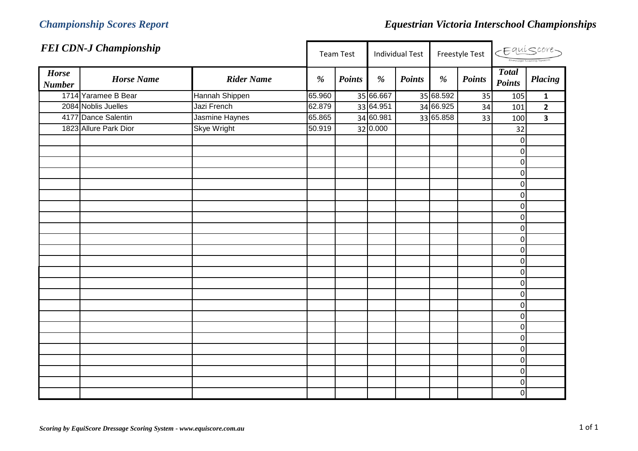|                               | <b>FEI CDN-J Championship</b> |                    |        | <b>Team Test</b> |           | <b>Individual Test</b> |           | Freestyle Test |                               | CEquiscore-             |
|-------------------------------|-------------------------------|--------------------|--------|------------------|-----------|------------------------|-----------|----------------|-------------------------------|-------------------------|
| <b>Horse</b><br><b>Number</b> | <b>Horse Name</b>             | <b>Rider Name</b>  | %      | <b>Points</b>    | %         | <b>Points</b>          | %         | <b>Points</b>  | <b>Total</b><br><b>Points</b> | Placing                 |
|                               | 1714 Yaramee B Bear           | Hannah Shippen     | 65.960 |                  | 35 66.667 |                        | 35 68.592 | 35             | 105                           | $\mathbf 1$             |
|                               | 2084 Noblis Juelles           | Jazi French        | 62.879 |                  | 33 64.951 |                        | 34 66.925 | 34             | 101                           | $\overline{2}$          |
|                               | 4177 Dance Salentin           | Jasmine Haynes     | 65.865 |                  | 34 60.981 |                        | 33 65.858 | 33             | 100                           | $\overline{\mathbf{3}}$ |
|                               | 1823 Allure Park Dior         | <b>Skye Wright</b> | 50.919 |                  | 32 0.000  |                        |           |                | 32                            |                         |
|                               |                               |                    |        |                  |           |                        |           |                | $\pmb{0}$                     |                         |
|                               |                               |                    |        |                  |           |                        |           |                | $\pmb{0}$                     |                         |
|                               |                               |                    |        |                  |           |                        |           |                | $\pmb{0}$                     |                         |
|                               |                               |                    |        |                  |           |                        |           |                | $\pmb{0}$                     |                         |
|                               |                               |                    |        |                  |           |                        |           |                | $\pmb{0}$                     |                         |
|                               |                               |                    |        |                  |           |                        |           |                | $\boldsymbol{0}$              |                         |
|                               |                               |                    |        |                  |           |                        |           |                | $\pmb{0}$                     |                         |
|                               |                               |                    |        |                  |           |                        |           |                | $\mathbf 0$                   |                         |
|                               |                               |                    |        |                  |           |                        |           |                | $\mathbf 0$                   |                         |
|                               |                               |                    |        |                  |           |                        |           |                | $\mathbf 0$                   |                         |
|                               |                               |                    |        |                  |           |                        |           |                | $\boldsymbol{0}$              |                         |
|                               |                               |                    |        |                  |           |                        |           |                | $\mathbf 0$                   |                         |
|                               |                               |                    |        |                  |           |                        |           |                | $\boldsymbol{0}$              |                         |
|                               |                               |                    |        |                  |           |                        |           |                | $\mathbf 0$                   |                         |
|                               |                               |                    |        |                  |           |                        |           |                | $\pmb{0}$                     |                         |
|                               |                               |                    |        |                  |           |                        |           |                | $\boldsymbol{0}$              |                         |
|                               |                               |                    |        |                  |           |                        |           |                | $\pmb{0}$                     |                         |
|                               |                               |                    |        |                  |           |                        |           |                | $\mathbf 0$                   |                         |
|                               |                               |                    |        |                  |           |                        |           |                | $\mathbf 0$                   |                         |
|                               |                               |                    |        |                  |           |                        |           |                | $\pmb{0}$                     |                         |
|                               |                               |                    |        |                  |           |                        |           |                | $\pmb{0}$                     |                         |
|                               |                               |                    |        |                  |           |                        |           |                | $\pmb{0}$                     |                         |
|                               |                               |                    |        |                  |           |                        |           |                | $\boldsymbol{0}$              |                         |
|                               |                               |                    |        |                  |           |                        |           |                | $\pmb{0}$                     |                         |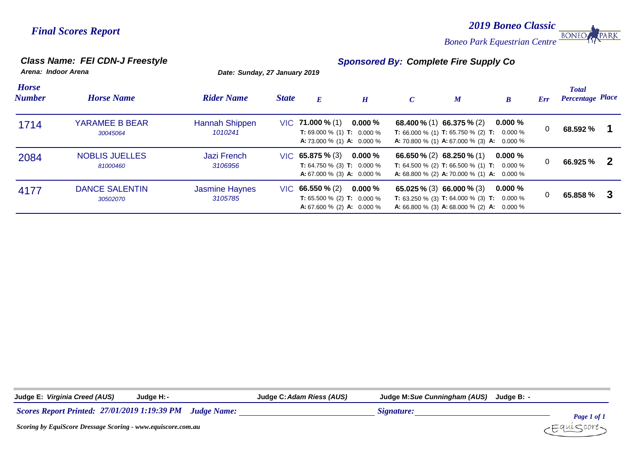*2019 Boneo Classic* **BONEO** *Boneo Park Equestrian Centre*

PARK

*Class Name: FEI CDN-J Freestyle Sponsored By: Complete Fire Supply Co*

*Arena: Indoor Arena Date: Sunday, 27 January 2019*

| <b>Horse</b><br><b>Number</b> | <b>Horse Name</b>                 | <b>Rider Name</b>                | <b>State</b> | E                                                                                                          | H           | $\mathcal{C}$ | $\boldsymbol{M}$                                                                                                                                                | $\boldsymbol{B}$ | Err | <b>Total</b><br><b>Percentage Place</b> |  |
|-------------------------------|-----------------------------------|----------------------------------|--------------|------------------------------------------------------------------------------------------------------------|-------------|---------------|-----------------------------------------------------------------------------------------------------------------------------------------------------------------|------------------|-----|-----------------------------------------|--|
| 1714                          | YARAMEE B BEAR<br>30045064        | Hannah Shippen<br>1010241        |              | $VIC$ 71.000 % (1)<br><b>T:</b> 69.000 % (1) <b>T:</b> 0.000 %<br><b>A:</b> 73.000 % (1) <b>A:</b> 0.000 % | $0.000\,\%$ |               | 68.400 % (1) 66.375 % (2)<br><b>T:</b> 66.000 % (1) <b>T:</b> 65.750 % (2) <b>T:</b> 0.000 %<br><b>A:</b> 70.800 % (1) <b>A:</b> 67.000 % (3) <b>A:</b> 0.000 % | $0.000\%$        | 0   | 68.592 %                                |  |
| 2084                          | <b>NOBLIS JUELLES</b><br>81000460 | <b>Jazi French</b><br>3106956    |              | $VIC$ 65.875 % (3)<br><b>T:</b> 64.750 % (3) <b>T:</b> 0.000 %<br><b>A:</b> 67.000 % (3) <b>A:</b> 0.000 % | $0.000\,\%$ |               | 66.650 % (2) 68.250 % (1)<br><b>T:</b> 64.500 % (2) <b>T:</b> 66.500 % (1) <b>T:</b> 0.000 %<br><b>A:</b> 68.800 % (2) <b>A:</b> 70.000 % (1) <b>A:</b> 0.000 % | $0.000\ \%$      | 0   | 66.925 %                                |  |
| 4177                          | <b>DANCE SALENTIN</b><br>30502070 | <b>Jasmine Haynes</b><br>3105785 |              | $VIC$ 66.550 % (2)<br><b>T:</b> 65.500 % (2) <b>T:</b> 0.000 %<br><b>A:</b> 67.600 % (2) <b>A:</b> 0.000 % | $0.000\,\%$ |               | 65.025 % (3) 66.000 % (3)<br><b>T:</b> 63.250 % (3) <b>T:</b> 64.000 % (3) <b>T:</b> 0.000 %<br><b>A:</b> 66.800 % (3) <b>A:</b> 68.000 % (2) <b>A:</b> 0.000 % | $0.000\%$        | 0   | 65.858 %                                |  |

**Judge E:** *Virginia Creed (AUS)* **Judge H:***-* **Judge C:***Adam Riess (AUS)* **Judge M:***Sue Cunningham (AUS)* **Judge B:** *-*

*27/01/2019 1:19:39 PM Scores Report Printed: Judge Name: Signature:*

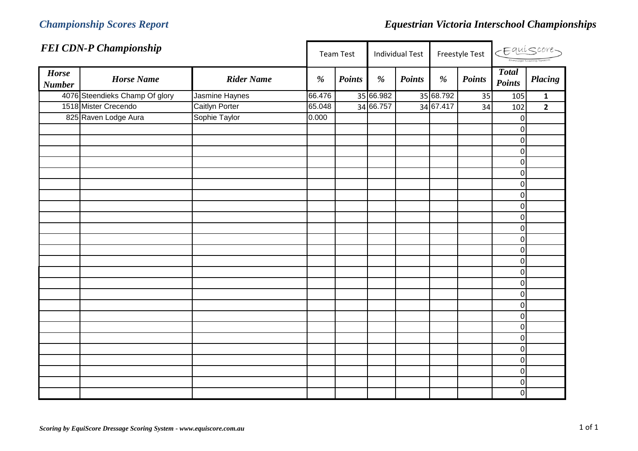|                               | <b>FEI CDN-P Championship</b>  |                   |        | <b>Team Test</b> |           | <b>Individual Test</b> |           | Freestyle Test |                               | CEquiscore     |
|-------------------------------|--------------------------------|-------------------|--------|------------------|-----------|------------------------|-----------|----------------|-------------------------------|----------------|
| <b>Horse</b><br><b>Number</b> | <b>Horse Name</b>              | <b>Rider Name</b> | $\%$   | <b>Points</b>    | %         | <b>Points</b>          | $\%$      | <b>Points</b>  | <b>Total</b><br><b>Points</b> | <b>Placing</b> |
|                               | 4076 Steendieks Champ Of glory | Jasmine Haynes    | 66.476 |                  | 35 66.982 |                        | 35 68.792 | 35             | 105                           | $\mathbf{1}$   |
|                               | 1518 Mister Crecendo           | Caitlyn Porter    | 65.048 |                  | 34 66.757 |                        | 34 67.417 | 34             | 102                           | $\overline{2}$ |
|                               | 825 Raven Lodge Aura           | Sophie Taylor     | 0.000  |                  |           |                        |           |                | $\mathbf 0$                   |                |
|                               |                                |                   |        |                  |           |                        |           |                | $\mathbf 0$                   |                |
|                               |                                |                   |        |                  |           |                        |           |                | $\boldsymbol{0}$              |                |
|                               |                                |                   |        |                  |           |                        |           |                | $\mathbf 0$                   |                |
|                               |                                |                   |        |                  |           |                        |           |                | $\mathbf 0$                   |                |
|                               |                                |                   |        |                  |           |                        |           |                | $\mathbf 0$                   |                |
|                               |                                |                   |        |                  |           |                        |           |                | $\pmb{0}$                     |                |
|                               |                                |                   |        |                  |           |                        |           |                | $\mathbf 0$                   |                |
|                               |                                |                   |        |                  |           |                        |           |                | 0                             |                |
|                               |                                |                   |        |                  |           |                        |           |                | $\boldsymbol{0}$              |                |
|                               |                                |                   |        |                  |           |                        |           |                | $\boldsymbol{0}$              |                |
|                               |                                |                   |        |                  |           |                        |           |                | $\mathbf 0$                   |                |
|                               |                                |                   |        |                  |           |                        |           |                | $\mathbf 0$                   |                |
|                               |                                |                   |        |                  |           |                        |           |                | 0                             |                |
|                               |                                |                   |        |                  |           |                        |           |                | $\mathbf 0$                   |                |
|                               |                                |                   |        |                  |           |                        |           |                | $\mathbf 0$                   |                |
|                               |                                |                   |        |                  |           |                        |           |                | 0                             |                |
|                               |                                |                   |        |                  |           |                        |           |                | $\mathbf 0$                   |                |
|                               |                                |                   |        |                  |           |                        |           |                | 0                             |                |
|                               |                                |                   |        |                  |           |                        |           |                | $\mathbf 0$                   |                |
|                               |                                |                   |        |                  |           |                        |           |                | 0                             |                |
|                               |                                |                   |        |                  |           |                        |           |                | 0                             |                |
|                               |                                |                   |        |                  |           |                        |           |                | 0                             |                |
|                               |                                |                   |        |                  |           |                        |           |                | $\pmb{0}$                     |                |
|                               |                                |                   |        |                  |           |                        |           |                | $\mathbf 0$                   |                |
|                               |                                |                   |        |                  |           |                        |           |                | $\boldsymbol{0}$              |                |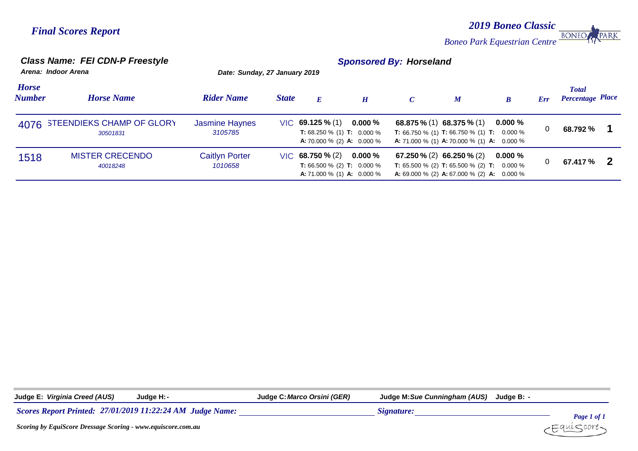*2019 Boneo Classic* **BONEO** *Boneo Park Equestrian Centre*

PARK

### *Class Name: FEI CDN-P Freestyle Sponsored By: Horseland*

|                               | Arena: Indoor Arena                        | Date: Sunday, 27 January 2019    |              |                                                                                                            |             |               |                                                                                                                                                                       |                  |     |                                         |
|-------------------------------|--------------------------------------------|----------------------------------|--------------|------------------------------------------------------------------------------------------------------------|-------------|---------------|-----------------------------------------------------------------------------------------------------------------------------------------------------------------------|------------------|-----|-----------------------------------------|
| <b>Horse</b><br><b>Number</b> | <b>Horse Name</b>                          | <b>Rider Name</b>                | <b>State</b> | E                                                                                                          | H           | $\mathcal{C}$ | $\boldsymbol{M}$                                                                                                                                                      | $\boldsymbol{B}$ | Err | <b>Total</b><br><b>Percentage Place</b> |
|                               | 4076 STEENDIEKS CHAMP OF GLORY<br>30501831 | <b>Jasmine Haynes</b><br>3105785 |              | $VIC$ 69.125 % (1)<br><b>T:</b> 68.250 % (1) <b>T:</b> 0.000 %<br><b>A:</b> 70.000 % (2) <b>A:</b> 0.000 % | $0.000\,\%$ |               | 68.875 $\%$ (1) 68.375 $\%$ (1)<br><b>T:</b> 66.750 % (1) <b>T:</b> 66.750 % (1) <b>T:</b> 0.000 %<br><b>A:</b> 71.000 % (1) <b>A:</b> 70.000 % (1) <b>A:</b> 0.000 % | $0.000\ \%$      | 0   | 68.792 %                                |
| 1518                          | <b>MISTER CRECENDO</b><br>40018248         | <b>Caitlyn Porter</b><br>1010658 |              | $VIC$ 68.750 % (2)<br><b>T:</b> 66.500 % (2) <b>T:</b> 0.000 %<br><b>A:</b> 71.000 % (1) <b>A:</b> 0.000 % | $0.000\,\%$ |               | 67.250 % (2) 66.250 % (2)<br><b>T:</b> 65.500 % (2) <b>T:</b> 65.500 % (2) <b>T:</b> 0.000 %<br><b>A:</b> 69.000 % (2) <b>A:</b> 67.000 % (2) <b>A:</b> 0.000 %       | $0.000\ \%$      | 0   | 67.417 %                                |

| Judge <sup>r</sup> | Creed (AUS)<br>Virginia . | Judge H: I                                                                                                                                                                                                                                                                                                                                                                                                              | <b>Orsini (GER)</b><br>. Marcc<br>Judae <i>'</i> | <b>Cunningham (AUS)</b><br>Judae M: <i>Sue</i> | Judge B: |
|--------------------|---------------------------|-------------------------------------------------------------------------------------------------------------------------------------------------------------------------------------------------------------------------------------------------------------------------------------------------------------------------------------------------------------------------------------------------------------------------|--------------------------------------------------|------------------------------------------------|----------|
| $\sim$             | .                         | $\begin{array}{c} \n\mathbf{A} \mathbf{F} \mathbf{I} \mathbf{A} \mathbf{I} \mathbf{A} \mathbf{A} \mathbf{I} \mathbf{A} \mathbf{I} \mathbf{I} \mathbf{I} \mathbf{A} \mathbf{A} \mathbf{A} \mathbf{I} \mathbf{I} \mathbf{I} \mathbf{I} \mathbf{I} \mathbf{I} \mathbf{I} \mathbf{I} \mathbf{I} \mathbf{I} \mathbf{I} \mathbf{I} \mathbf{I} \mathbf{I} \mathbf{I} \mathbf{I} \mathbf{I} \mathbf{I} \mathbf{I} \mathbf{I} \$ |                                                  | ~                                              |          |

*27/01/2019 11:22:24 AM Judge Name: Signature: Signature:* 

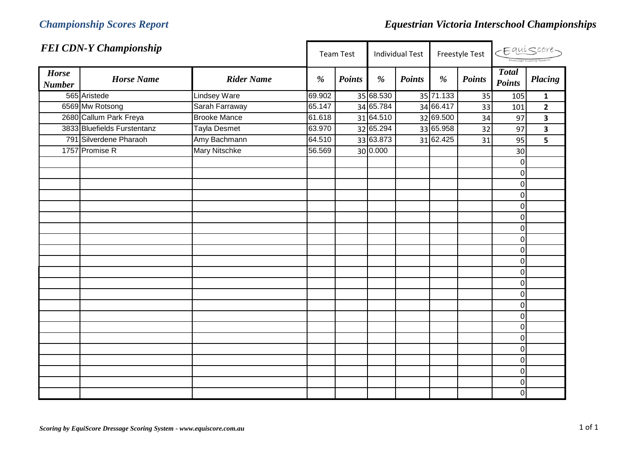|                               | <b>FEI CDN-Y Championship</b> |                      |        | <b>Team Test</b> |           | <b>Individual Test</b> |           | Freestyle Test | CEquiscore-                   |                         |
|-------------------------------|-------------------------------|----------------------|--------|------------------|-----------|------------------------|-----------|----------------|-------------------------------|-------------------------|
| <b>Horse</b><br><b>Number</b> | <b>Horse Name</b>             | <b>Rider Name</b>    | %      | <b>Points</b>    | %         | <b>Points</b>          | %         | <b>Points</b>  | <b>Total</b><br><b>Points</b> | <b>Placing</b>          |
|                               | 565 Aristede                  | <b>Lindsey Ware</b>  | 69.902 |                  | 35 68.530 |                        | 35 71.133 | 35             | 105                           | $\mathbf{1}$            |
|                               | 6569 Mw Rotsong               | Sarah Farraway       | 65.147 |                  | 34 65.784 |                        | 34 66.417 | 33             | 101                           | $\overline{2}$          |
|                               | 2680 Callum Park Freya        | <b>Brooke Mance</b>  | 61.618 |                  | 31 64.510 |                        | 32 69.500 | 34             | 97                            | $\overline{\mathbf{3}}$ |
|                               | 3833 Bluefields Furstentanz   | <b>Tayla Desmet</b>  | 63.970 |                  | 32 65.294 |                        | 33 65.958 | 32             | 97                            | $\overline{\mathbf{3}}$ |
|                               | 791 Silverdene Pharaoh        | Amy Bachmann         | 64.510 |                  | 33 63.873 |                        | 31 62.425 | 31             | 95                            | 5                       |
|                               | 1757 Promise R                | <b>Mary Nitschke</b> | 56.569 |                  | 30 0.000  |                        |           |                | 30                            |                         |
|                               |                               |                      |        |                  |           |                        |           |                | $\pmb{0}$                     |                         |
|                               |                               |                      |        |                  |           |                        |           |                | $\mathbf 0$                   |                         |
|                               |                               |                      |        |                  |           |                        |           |                | $\mathbf 0$                   |                         |
|                               |                               |                      |        |                  |           |                        |           |                | $\mathbf 0$                   |                         |
|                               |                               |                      |        |                  |           |                        |           |                | $\mathbf 0$                   |                         |
|                               |                               |                      |        |                  |           |                        |           |                | $\mathbf 0$                   |                         |
|                               |                               |                      |        |                  |           |                        |           |                | $\mathbf 0$                   |                         |
|                               |                               |                      |        |                  |           |                        |           |                | $\mathbf 0$                   |                         |
|                               |                               |                      |        |                  |           |                        |           |                | $\mathbf 0$                   |                         |
|                               |                               |                      |        |                  |           |                        |           |                | $\mathbf 0$                   |                         |
|                               |                               |                      |        |                  |           |                        |           |                | $\mathbf 0$                   |                         |
|                               |                               |                      |        |                  |           |                        |           |                | $\mathbf 0$                   |                         |
|                               |                               |                      |        |                  |           |                        |           |                | $\mathbf 0$                   |                         |
|                               |                               |                      |        |                  |           |                        |           |                | $\mathbf 0$                   |                         |
|                               |                               |                      |        |                  |           |                        |           |                | $\mathbf 0$                   |                         |
|                               |                               |                      |        |                  |           |                        |           |                | $\mathbf 0$                   |                         |
|                               |                               |                      |        |                  |           |                        |           |                | $\mathbf 0$                   |                         |
|                               |                               |                      |        |                  |           |                        |           |                | $\mathbf 0$                   |                         |
|                               |                               |                      |        |                  |           |                        |           |                | $\mathbf 0$                   |                         |
|                               |                               |                      |        |                  |           |                        |           |                | $\mathbf 0$                   |                         |
|                               |                               |                      |        |                  |           |                        |           |                | $\mathbf 0$                   |                         |
|                               |                               |                      |        |                  |           |                        |           |                | $\mathbf 0$                   |                         |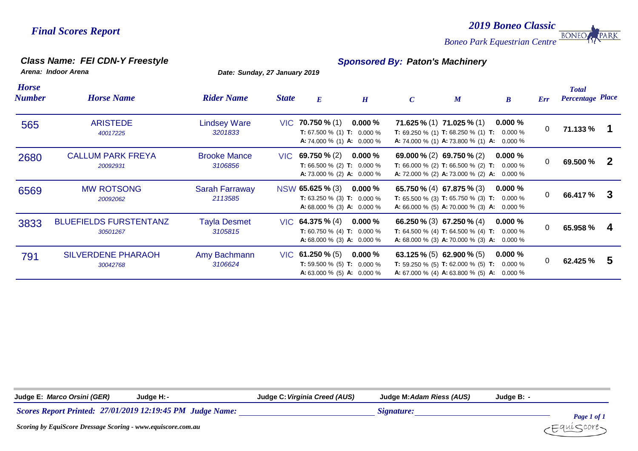*2019 Boneo Classic* **BONEO** *Boneo Park Equestrian Centre*

PARK

### *Class Name: FEI CDN-Y Freestyle Sponsored By: Paton's Machinery*

*Arena: Indoor Arena Date: Sunday, 27 January 2019*

| <b>Horse</b><br><b>Number</b> | <b>Horse Name</b>                         | <b>Rider Name</b>                | <b>State</b> | E                                                                                                          | H         | $\mathcal{C}$ | $\boldsymbol{M}$                                                                                                                                                      | $\boldsymbol{B}$ | Err            | <b>Total</b><br><b>Percentage Place</b> |    |
|-------------------------------|-------------------------------------------|----------------------------------|--------------|------------------------------------------------------------------------------------------------------------|-----------|---------------|-----------------------------------------------------------------------------------------------------------------------------------------------------------------------|------------------|----------------|-----------------------------------------|----|
| 565                           | <b>ARISTEDE</b><br>40017225               | <b>Lindsey Ware</b><br>3201833   |              | $VIC$ 70.750 % (1)<br><b>T:</b> 67.500 % (1) <b>T:</b> 0.000 %<br><b>A:</b> 74.000 % (1) <b>A:</b> 0.000 % | $0.000\%$ |               | <b>71.625 % (1) 71.025 % (1)</b><br><b>T:</b> 69.250 % (1) <b>T:</b> 68.250 % (1) <b>T:</b> 0.000 %<br>A: 74.000 % (1) A: 73.800 % (1) A: 0.000 %                     | $0.000\%$        | $\overline{0}$ | 71.133 %                                |    |
| 2680                          | <b>CALLUM PARK FREYA</b><br>20092931      | <b>Brooke Mance</b><br>3106856   |              | $VIC$ 69.750 % (2)<br><b>T:</b> 66.500 % (2) <b>T:</b> 0.000 %<br><b>A:</b> 73.000 % (2) <b>A:</b> 0.000 % | $0.000\%$ |               | 69.000 % (2) 69.750 % (2)<br><b>T:</b> 66.000 % (2) <b>T:</b> 66.500 % (2) <b>T:</b> 0.000 %<br>A: 72.000 % (2) A: 73.000 % (2) A: 0.000 %                            | $0.000\%$        | $\mathbf 0$    | 69.500 %                                | -2 |
| 6569                          | <b>MW ROTSONG</b><br>20092062             | <b>Sarah Farraway</b><br>2113585 |              | NSW 65.625 % (3)<br><b>T:</b> 63.250 % (3) <b>T:</b> 0.000 %<br><b>A:</b> 68.000 % (3) <b>A:</b> 0.000 %   | $0.000\%$ |               | 65.750 $\%$ (4) 67.875 $\%$ (3)<br><b>T:</b> 65.500 % (3) <b>T:</b> 65.750 % (3) <b>T:</b> 0.000 %<br><b>A:</b> 66.000 % (5) <b>A:</b> 70.000 % (3) <b>A:</b> 0.000 % | $0.000\%$        | $\Omega$       | 66.417 %                                | -3 |
| 3833                          | <b>BLUEFIELDS FURSTENTANZ</b><br>30501267 | <b>Tayla Desmet</b><br>3105815   |              | $VIC$ 64.375 % (4)<br><b>T:</b> 60.750 % (4) <b>T:</b> 0.000 %<br><b>A:</b> 68.000 % (3) <b>A:</b> 0.000 % | $0.000\%$ |               | 66.250 % (3) 67.250 % (4)<br><b>T:</b> 64.500 % (4) <b>T:</b> 64.500 % (4) <b>T:</b> 0.000 %<br>A: 68.000 % (3) A: 70.000 % (3) A: 0.000 %                            | $0.000\%$        | $\Omega$       | 65.958 %                                | 4  |
| 791                           | <b>SILVERDENE PHARAOH</b><br>30042768     | Amy Bachmann<br>3106624          |              | $VIC$ 61.250 % (5)<br><b>T:</b> 59.500 % (5) <b>T:</b> 0.000 %<br><b>A:</b> 63.000 % (5) <b>A:</b> 0.000 % | $0.000\%$ |               | 63.125 % (5) 62.900 % (5)<br><b>T:</b> 59.250 % (5) <b>T:</b> 62.000 % (5) <b>T:</b> 0.000 %<br><b>A:</b> 67.000 % (4) <b>A:</b> 63.800 % (5) <b>A:</b> 0.000 %       | $0.000\%$        | $\mathbf 0$    | 62.425 %                                | -5 |

**Judge E:** *Marco Orsini (GER)* **Judge H:***-* **Judge C:***Virginia Creed (AUS)* **Judge M:***Adam Riess (AUS)* **Judge B:** *-27/01/2019 12:19:45 PM Judge Name: Signature: Signature: Signature: Page 1 of 1 Scoring by EquiScore Dressage Scoring - www.equiscore.com.au* ∶auí⊂core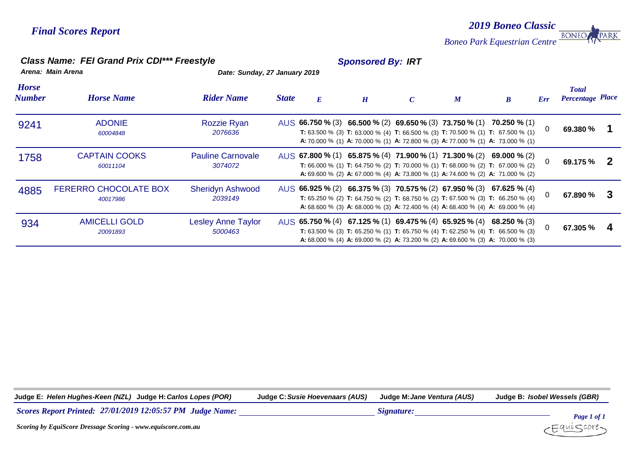*2019 Boneo Classic* **BONEO** *Boneo Park Equestrian Centre*

### *Class Name: FEI Grand Prix CDI\*\*\* Freestyle Sponsored By: IRT*

*Arena: Main Arena Date: Sunday, 27 January 2019*

| <b>Horse</b><br><b>Number</b> | <b>Horse Name</b>                        | <b>Rider Name</b>                    | <b>State</b> | E | H | $\overline{C}$ | $\boldsymbol{M}$ | $\bm{B}$                                                                                                                                                                                                                                                                      | Err      | <b>Total</b><br><b>Percentage Place</b> |  |
|-------------------------------|------------------------------------------|--------------------------------------|--------------|---|---|----------------|------------------|-------------------------------------------------------------------------------------------------------------------------------------------------------------------------------------------------------------------------------------------------------------------------------|----------|-----------------------------------------|--|
| 9241                          | <b>ADONIE</b><br>60004848                | <b>Rozzie Ryan</b><br>2076636        |              |   |   |                |                  | AUS 66.750 % (3) 66.500 % (2) 69.650 % (3) 73.750 % (1) 70.250 % (1)<br><b>T:</b> 63.500 % (3) <b>T:</b> 63.000 % (4) <b>T:</b> 66.500 % (3) <b>T:</b> 70.500 % (1) <b>T:</b> 67.500 % (1)<br>A: 70.000 % (1) A: 70.000 % (1) A: 72.800 % (3) A: 77.000 % (1) A: 73.000 % (1) | 0        | 69.380 %                                |  |
| 1758                          | <b>CAPTAIN COOKS</b><br>60011104         | <b>Pauline Carnovale</b><br>3074072  |              |   |   |                |                  | AUS 67.800 % (1) 65.875 % (4) 71.900 % (1) 71.300 % (2) 69.000 % (2)<br><b>T:</b> 66.000 % (1) <b>T:</b> 64.750 % (2) <b>T:</b> 70.000 % (1) <b>T:</b> 68.000 % (2) <b>T:</b> 67.000 % (2)<br>A: 69.600 % (2) A: 67.000 % (4) A: 73.800 % (1) A: 74.600 % (2) A: 71.000 % (2) | 0        | 69.175 %                                |  |
| 4885                          | <b>FERERRO CHOCOLATE BOX</b><br>40017986 | <b>Sheridyn Ashwood</b><br>2039149   |              |   |   |                |                  | AUS 66.925 % (2) 66.375 % (3) 70.575 % (2) 67.950 % (3) 67.625 % (4)<br>T: 65.250 % (2) T: 64.750 % (2) T: 68.750 % (2) T: 67.500 % (3) T: 66.250 % (4)<br>A: 68.600 % (3) A: 68.000 % (3) A: 72.400 % (4) A: 68.400 % (4) A: 69.000 % (4)                                    |          | 67.890 %                                |  |
| 934                           | <b>AMICELLI GOLD</b><br>20091893         | <b>Lesley Anne Taylor</b><br>5000463 |              |   |   |                |                  | AUS 65.750 % (4) 67.125 % (1) 69.475 % (4) 65.925 % (4) 68.250 % (3)<br><b>T:</b> 63.500 % (3) <b>T:</b> 65.250 % (1) <b>T:</b> 65.750 % (4) <b>T:</b> 62.250 % (4) <b>T:</b> 66.500 % (3)<br>A: 68.000 % (4) A: 69.000 % (2) A: 73.200 % (2) A: 69.600 % (3) A: 70.000 % (3) | $\Omega$ | 67.305 %                                |  |

**Judge E:** *Helen Hughes-Keen (NZL)* **Judge H:***Carlos Lopes (POR)* **Judge C:***Susie Hoevenaars (AUS)* **Judge M:***Jane Ventura (AUS)* **Judge B:** *Isobel Wessels (GBR)*

*27/01/2019 12:05:57 PM Judge Name: Signature: Signature: Signature:* 



PARK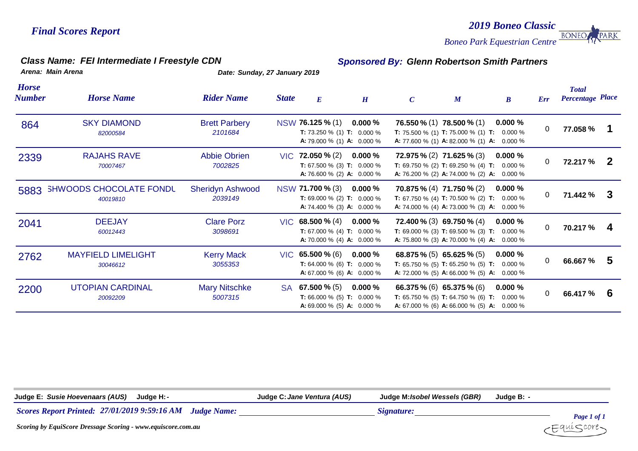*Boneo Park Equestrian Centre*

*Class Name: FEI Intermediate I Freestyle CDN Sponsored By: Glenn Robertson Smith Partners*

*2019 Boneo Classic*

**BONEO** 

PARK

*Arena: Main Arena Date: Sunday, 27 January 2019*

| <b>Horse</b><br>Number | <b>Horse Name</b>                          | <b>Rider Name</b>                  | <b>State</b> | $\boldsymbol{E}$                                                                                           | H         | $\mathcal{C}$ | $\boldsymbol{M}$                                                                                                                                                | $\boldsymbol{B}$        | Err      | <b>Total</b><br><b>Percentage Place</b> |              |
|------------------------|--------------------------------------------|------------------------------------|--------------|------------------------------------------------------------------------------------------------------------|-----------|---------------|-----------------------------------------------------------------------------------------------------------------------------------------------------------------|-------------------------|----------|-----------------------------------------|--------------|
| 864                    | <b>SKY DIAMOND</b><br>82000584             | <b>Brett Parbery</b><br>2101684    |              | NSW 76.125 % (1)<br><b>T:</b> 73.250 % (1) <b>T:</b> 0.000 %<br><b>A:</b> 79.000 % (1) <b>A:</b> 0.000 %   | $0.000\%$ |               | <b>76.550 % (1) 78.500 % (1)</b><br><b>T:</b> 75.500 % (1) <b>T:</b> 75.000 % (1) <b>T:</b><br><b>A:</b> 77.600 % (1) <b>A:</b> 82.000 % (1) <b>A:</b> 0.000 %  | 0.000%<br>$0.000\%$     | 0        | 77.058 %                                |              |
| 2339                   | <b>RAJAHS RAVE</b><br>70007467             | <b>Abbie Obrien</b><br>7002825     |              | $VIC$ 72.050 % (2)<br><b>T:</b> 67.500 % (3) <b>T:</b> 0.000 %<br><b>A:</b> 76.600 % (2) <b>A:</b> 0.000 % | $0.000\%$ |               | 72.975 % (2) 71.625 % (3)<br><b>T:</b> 69.750 % (2) <b>T:</b> 69.250 % (4) <b>T:</b><br><b>A:</b> 76.200 % (2) <b>A:</b> 74.000 % (2) <b>A:</b> 0.000 %         | $0.000 \%$<br>$0.000\%$ | 0        | 72.217 %                                | $\mathbf{2}$ |
| 5883                   | <b>SHWOODS CHOCOLATE FONDL</b><br>40019810 | <b>Sheridyn Ashwood</b><br>2039149 |              | NSW 71.700 % (3)<br><b>T:</b> 69.000 % (2) <b>T:</b> 0.000 %<br><b>A:</b> 74.400 % (3) <b>A:</b> 0.000 %   | $0.000\%$ |               | <b>70.875 % (4) 71.750 % (2)</b><br><b>T:</b> 67.750 % (4) <b>T:</b> 70.500 % (2) <b>T:</b> 0.000 %<br>A: 74.000 % (4) A: 73.000 % (3) A: 0.000 %               | 0.000%                  | 0        | 71.442 %                                | -3           |
| 2041                   | <b>DEEJAY</b><br>60012443                  | <b>Clare Porz</b><br>3098691       |              | $VIC$ 68.500 % (4)<br><b>T:</b> 67.000 % (4) <b>T:</b> 0.000 %<br><b>A:</b> 70.000 % (4) <b>A:</b> 0.000 % | $0.000\%$ |               | <b>72.400 % (3) 69.750 % (4)</b><br><b>T:</b> 69.000 % (3) <b>T:</b> 69.500 % (3) <b>T:</b> 0.000 %<br>A: 75.800 % (3) A: 70.000 % (4) A: 0.000 %               | 0.000%                  | $\Omega$ | 70.217 %                                | 4            |
| 2762                   | <b>MAYFIELD LIMELIGHT</b><br>30046612      | <b>Kerry Mack</b><br>3055353       |              | $VIC$ 65.500 % (6)<br><b>T:</b> 64.000 % (6) <b>T:</b> 0.000 %<br><b>A:</b> 67.000 % (6) <b>A:</b> 0.000 % | $0.000\%$ |               | 68.875 % (5) 65.625 % (5)<br><b>T:</b> 65.750 % (5) <b>T:</b> 65.250 % (5) <b>T:</b> 0.000 %<br><b>A:</b> 72.000 % (5) <b>A:</b> 66.000 % (5) <b>A:</b> 0.000 % | 0.000%                  | 0        | 66.667 %                                | -5           |
| 2200                   | <b>UTOPIAN CARDINAL</b><br>20092209        | <b>Mary Nitschke</b><br>5007315    | SA.          | 67.500 $% (5)$<br><b>T:</b> 66.000 % (5) <b>T:</b> 0.000 %<br><b>A:</b> 69.000 % (5) <b>A:</b> 0.000 %     | $0.000\%$ |               | 66.375 % (6) 65.375 % (6)<br><b>T:</b> 65.750 % (5) <b>T:</b> 64.750 % (6) <b>T:</b><br><b>A:</b> 67.000 % (6) <b>A:</b> 66.000 % (5) <b>A:</b> 0.000 %         | 0.000%<br>$0.000\%$     | 0        | 66.417 %                                | 6            |

| Judge E: Susie Hoevenaars (AUS)<br>Judge H: -                             | Judge C: Jane Ventura (AUS) | Judge M: /sobel Wessels (GBR) | Judge B: - |  |
|---------------------------------------------------------------------------|-----------------------------|-------------------------------|------------|--|
| <b>Scores Report Printed: 27/01/2019 9:59:16 AM</b><br><b>Judge Name:</b> |                             | Signature:                    |            |  |

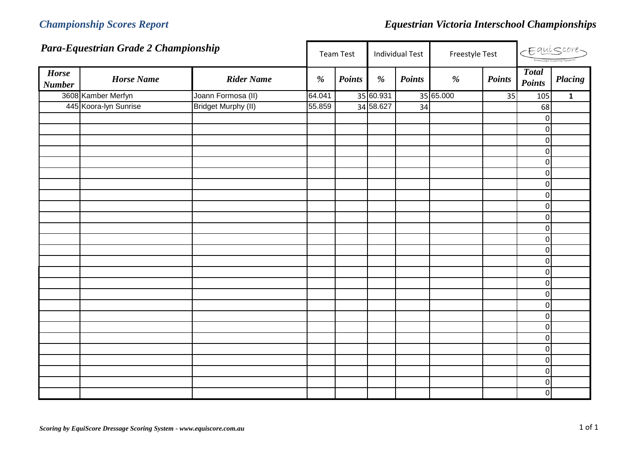|                               | Para-Equestrian Grade 2 Championship |                            |        | <b>Team Test</b> | <b>Individual Test</b> |               | Freestyle Test |               |                               |                | Equiscore |
|-------------------------------|--------------------------------------|----------------------------|--------|------------------|------------------------|---------------|----------------|---------------|-------------------------------|----------------|-----------|
| <b>Horse</b><br><b>Number</b> | <b>Horse Name</b>                    | <b>Rider Name</b>          | %      | <b>Points</b>    | $\%$                   | <b>Points</b> | %              | <b>Points</b> | <b>Total</b><br><b>Points</b> | <b>Placing</b> |           |
|                               | 3608 Kamber Merfyn                   | Joann Formosa (II)         | 64.041 |                  | 35 60.931              |               | 35 65.000      | 35            | 105                           | $\mathbf{1}$   |           |
|                               | 445 Koora-Iyn Sunrise                | <b>Bridget Murphy (II)</b> | 55.859 |                  | 34 58.627              | 34            |                |               | 68                            |                |           |
|                               |                                      |                            |        |                  |                        |               |                |               | $\mathbf 0$                   |                |           |
|                               |                                      |                            |        |                  |                        |               |                |               | $\overline{0}$                |                |           |
|                               |                                      |                            |        |                  |                        |               |                |               | $\overline{0}$                |                |           |
|                               |                                      |                            |        |                  |                        |               |                |               | $\overline{0}$                |                |           |
|                               |                                      |                            |        |                  |                        |               |                |               | $\mathbf 0$                   |                |           |
|                               |                                      |                            |        |                  |                        |               |                |               | $\overline{0}$                |                |           |
|                               |                                      |                            |        |                  |                        |               |                |               | $\overline{0}$                |                |           |
|                               |                                      |                            |        |                  |                        |               |                |               | $\boldsymbol{0}$              |                |           |
|                               |                                      |                            |        |                  |                        |               |                |               | $\overline{0}$                |                |           |
|                               |                                      |                            |        |                  |                        |               |                |               | $\overline{0}$                |                |           |
|                               |                                      |                            |        |                  |                        |               |                |               | $\mathbf 0$                   |                |           |
|                               |                                      |                            |        |                  |                        |               |                |               | $\mathbf 0$                   |                |           |
|                               |                                      |                            |        |                  |                        |               |                |               | $\overline{0}$                |                |           |
|                               |                                      |                            |        |                  |                        |               |                |               | $\mathbf 0$                   |                |           |
|                               |                                      |                            |        |                  |                        |               |                |               | $\overline{0}$                |                |           |
|                               |                                      |                            |        |                  |                        |               |                |               | $\overline{0}$                |                |           |
|                               |                                      |                            |        |                  |                        |               |                |               | $\overline{0}$                |                |           |
|                               |                                      |                            |        |                  |                        |               |                |               | $\boldsymbol{0}$              |                |           |
|                               |                                      |                            |        |                  |                        |               |                |               | $\mathbf 0$                   |                |           |
|                               |                                      |                            |        |                  |                        |               |                |               | $\overline{0}$                |                |           |
|                               |                                      |                            |        |                  |                        |               |                |               | $\pmb{0}$                     |                |           |
|                               |                                      |                            |        |                  |                        |               |                |               | $\pmb{0}$                     |                |           |
|                               |                                      |                            |        |                  |                        |               |                |               | $\overline{0}$                |                |           |
|                               |                                      |                            |        |                  |                        |               |                |               | $\overline{0}$                |                |           |
|                               |                                      |                            |        |                  |                        |               |                |               | $\boldsymbol{0}$              |                |           |
|                               |                                      |                            |        |                  |                        |               |                |               | $\overline{0}$                |                |           |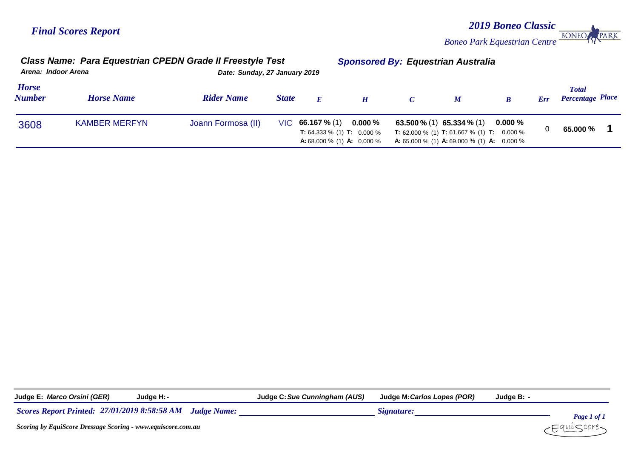*2019 Boneo Classic* **BONEO** *Boneo Park Equestrian Centre*

PARK

| Arena: Indoor Arena           | Class Name: Para Equestrian CPEDN Grade II Freestyle Test |                    | Date: Sunday, 27 January 2019 |                                                                                                            |                  | <b>Sponsored By: Equestrian Australia</b>                                                                                                                             |             |     |                                  |  |
|-------------------------------|-----------------------------------------------------------|--------------------|-------------------------------|------------------------------------------------------------------------------------------------------------|------------------|-----------------------------------------------------------------------------------------------------------------------------------------------------------------------|-------------|-----|----------------------------------|--|
| <b>Horse</b><br><b>Number</b> | <b>Horse Name</b>                                         | <b>Rider Name</b>  | <b>State</b>                  | E                                                                                                          | $\boldsymbol{H}$ | $\boldsymbol{M}$                                                                                                                                                      |             | Err | Total<br><b>Percentage Place</b> |  |
| 3608                          | <b>KAMBER MERFYN</b>                                      | Joann Formosa (II) |                               | $VIC$ 66.167 % (1)<br><b>T:</b> 64.333 % (1) <b>T:</b> 0.000 %<br><b>A:</b> 68.000 % (1) <b>A:</b> 0.000 % | $0.000\,\%$      | 63.500 $\%$ (1) 65.334 $\%$ (1)<br><b>T:</b> 62.000 % (1) <b>T:</b> 61.667 % (1) <b>T:</b> 0.000 %<br><b>A:</b> 65.000 % (1) <b>A:</b> 69.000 % (1) <b>A:</b> 0.000 % | $0.000\ \%$ |     | 65.000 %                         |  |

**Judge E:** *Marco Orsini (GER)* **Judge H:***-* **Judge C:***Sue Cunningham (AUS)* **Judge M:***Carlos Lopes (POR)* **Judge B:** *-*

*27/01/2019 8:58:58 AM Scores Report Printed: Judge Name: Signature:*



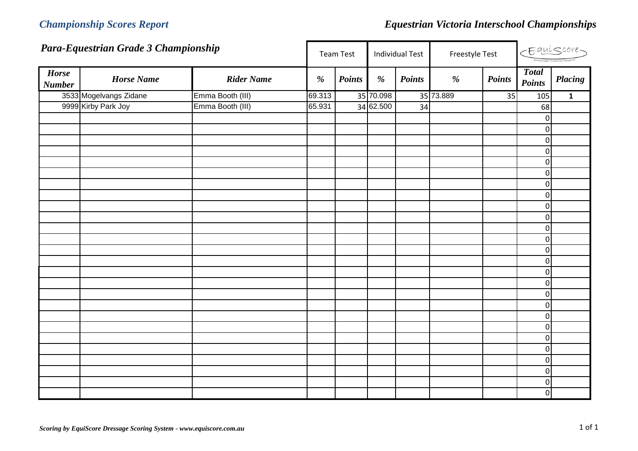|                               | Para-Equestrian Grade 3 Championship |                   |        | <b>Team Test</b> |           | <b>Individual Test</b> | Freestyle Test |               |                               | $E$ quiscore   |
|-------------------------------|--------------------------------------|-------------------|--------|------------------|-----------|------------------------|----------------|---------------|-------------------------------|----------------|
| <b>Horse</b><br><b>Number</b> | <b>Horse Name</b>                    | <b>Rider Name</b> | %      | <b>Points</b>    | $\%$      | <b>Points</b>          | %              | <b>Points</b> | <b>Total</b><br><b>Points</b> | <b>Placing</b> |
|                               | 3533 Mogelvangs Zidane               | Emma Booth (III)  | 69.313 |                  | 35 70.098 |                        | 35 73.889      | 35            | 105                           | $\mathbf{1}$   |
|                               | 9999 Kirby Park Joy                  | Emma Booth (III)  | 65.931 |                  | 34 62.500 | 34                     |                |               | 68                            |                |
|                               |                                      |                   |        |                  |           |                        |                |               | $\mathbf 0$                   |                |
|                               |                                      |                   |        |                  |           |                        |                |               | $\overline{0}$                |                |
|                               |                                      |                   |        |                  |           |                        |                |               | $\overline{0}$                |                |
|                               |                                      |                   |        |                  |           |                        |                |               | $\overline{0}$                |                |
|                               |                                      |                   |        |                  |           |                        |                |               | $\overline{0}$                |                |
|                               |                                      |                   |        |                  |           |                        |                |               | $\mathbf 0$                   |                |
|                               |                                      |                   |        |                  |           |                        |                |               | $\overline{0}$                |                |
|                               |                                      |                   |        |                  |           |                        |                |               | $\pmb{0}$                     |                |
|                               |                                      |                   |        |                  |           |                        |                |               | $\overline{0}$                |                |
|                               |                                      |                   |        |                  |           |                        |                |               | $\overline{0}$                |                |
|                               |                                      |                   |        |                  |           |                        |                |               | $\overline{0}$                |                |
|                               |                                      |                   |        |                  |           |                        |                |               | $\overline{0}$                |                |
|                               |                                      |                   |        |                  |           |                        |                |               | $\overline{0}$                |                |
|                               |                                      |                   |        |                  |           |                        |                |               | $\overline{0}$                |                |
|                               |                                      |                   |        |                  |           |                        |                |               | $\overline{0}$                |                |
|                               |                                      |                   |        |                  |           |                        |                |               | $\overline{0}$                |                |
|                               |                                      |                   |        |                  |           |                        |                |               | $\overline{0}$                |                |
|                               |                                      |                   |        |                  |           |                        |                |               | $\mathbf 0$                   |                |
|                               |                                      |                   |        |                  |           |                        |                |               | $\overline{0}$                |                |
|                               |                                      |                   |        |                  |           |                        |                |               | $\overline{0}$                |                |
|                               |                                      |                   |        |                  |           |                        |                |               | $\overline{0}$                |                |
|                               |                                      |                   |        |                  |           |                        |                |               | $\overline{0}$                |                |
|                               |                                      |                   |        |                  |           |                        |                |               | $\overline{0}$                |                |
|                               |                                      |                   |        |                  |           |                        |                |               | $\overline{0}$                |                |
|                               |                                      |                   |        |                  |           |                        |                |               | $\boldsymbol{0}$              |                |
|                               |                                      |                   |        |                  |           |                        |                |               | $\overline{0}$                |                |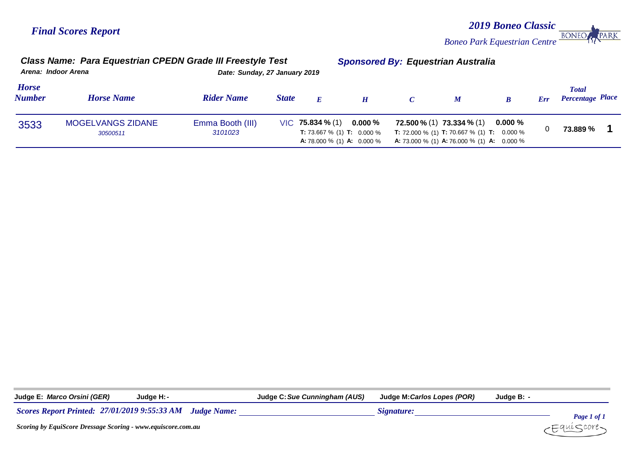**BONEO** *Boneo Park Equestrian Centre*

*2019 Boneo Classic*

PARK

| Arena: Indoor Arena           | Class Name: Para Equestrian CPEDN Grade III Freestyle Test |                             | Date: Sunday, 27 January 2019 |                                                                                                            |           | Sponsored By: Equestrian Australia |                                                                                                                                                                     |             |     |                                         |
|-------------------------------|------------------------------------------------------------|-----------------------------|-------------------------------|------------------------------------------------------------------------------------------------------------|-----------|------------------------------------|---------------------------------------------------------------------------------------------------------------------------------------------------------------------|-------------|-----|-----------------------------------------|
| <b>Horse</b><br><b>Number</b> | <b>Horse Name</b>                                          | <b>Rider Name</b>           | <b>State</b>                  | E                                                                                                          |           |                                    | $\boldsymbol{M}$                                                                                                                                                    |             | Err | <b>Total</b><br><b>Percentage Place</b> |
| 3533                          | <b>MOGELVANGS ZIDANE</b><br>30500511                       | Emma Booth (III)<br>3101023 |                               | $VIC$ 75.834 % (1)<br><b>T:</b> 73.667 % (1) <b>T:</b> 0.000 %<br><b>A:</b> 78.000 % (1) <b>A:</b> 0.000 % | $0.000\%$ |                                    | $72.500\%$ (1) $73.334\%$ (1)<br><b>T:</b> 72.000 % (1) <b>T:</b> 70.667 % (1) <b>T:</b> 0.000 %<br><b>A:</b> 73.000 % (1) <b>A:</b> 76.000 % (1) <b>A:</b> 0.000 % | $0.000\ \%$ |     | 73.889 %                                |

*Class Name: Para Equestrian CPEDN Grade III Freestyle Test Sponsored By: Equestrian Australia*

**Judge E:** *Marco Orsini (GER)* **Judge H:***-* **Judge C:***Sue Cunningham (AUS)* **Judge M:***Carlos Lopes (POR)* **Judge B:** *-*

*27/01/2019 9:55:33 AM Scores Report Printed: Judge Name: Signature:*

*Page 1 of 1* ∶auí⊂core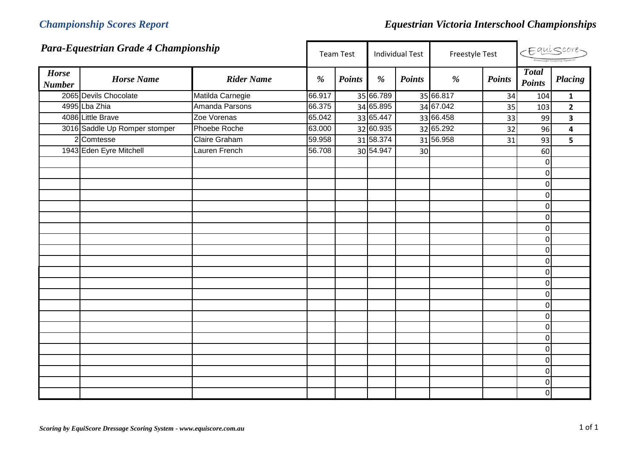|                               | Para-Equestrian Grade 4 Championship |                      |        | <b>Team Test</b> |           | <b>Individual Test</b> | Freestyle Test |               | Equiscore-                    |                         |  |
|-------------------------------|--------------------------------------|----------------------|--------|------------------|-----------|------------------------|----------------|---------------|-------------------------------|-------------------------|--|
| <b>Horse</b><br><b>Number</b> | <b>Horse Name</b>                    | <b>Rider Name</b>    | %      | <b>Points</b>    | %         | <b>Points</b>          | %              | <b>Points</b> | <b>Total</b><br><b>Points</b> | <b>Placing</b>          |  |
|                               | 2065 Devils Chocolate                | Matilda Carnegie     | 66.917 |                  | 35 66.789 |                        | 35 66.817      | 34            | 104                           | $\mathbf{1}$            |  |
|                               | 4995 Lba Zhia                        | Amanda Parsons       | 66.375 |                  | 34 65.895 |                        | 34 67.042      | 35            | 103                           | $\mathbf{2}$            |  |
|                               | 4086 Little Brave                    | Zoe Vorenas          | 65.042 |                  | 33 65.447 |                        | 33 66.458      | 33            | 99                            | $\overline{\mathbf{3}}$ |  |
|                               | 3016 Saddle Up Romper stomper        | Phoebe Roche         | 63.000 |                  | 32 60.935 |                        | 32 65.292      | 32            | 96                            | $\overline{\mathbf{4}}$ |  |
|                               | 2 Comtesse                           | <b>Claire Graham</b> | 59.958 |                  | 31 58.374 |                        | 31 56.958      | 31            | 93                            | 5                       |  |
|                               | 1943 Eden Eyre Mitchell              | Lauren French        | 56.708 |                  | 30 54.947 | 30                     |                |               | 60                            |                         |  |
|                               |                                      |                      |        |                  |           |                        |                |               | $\mathbf{0}$                  |                         |  |
|                               |                                      |                      |        |                  |           |                        |                |               | $\overline{0}$                |                         |  |
|                               |                                      |                      |        |                  |           |                        |                |               | $\overline{0}$                |                         |  |
|                               |                                      |                      |        |                  |           |                        |                |               | $\mathbf 0$                   |                         |  |
|                               |                                      |                      |        |                  |           |                        |                |               | $\mathbf{0}$                  |                         |  |
|                               |                                      |                      |        |                  |           |                        |                |               | $\overline{0}$                |                         |  |
|                               |                                      |                      |        |                  |           |                        |                |               | $\Omega$                      |                         |  |
|                               |                                      |                      |        |                  |           |                        |                |               | $\mathbf 0$                   |                         |  |
|                               |                                      |                      |        |                  |           |                        |                |               | $\overline{0}$                |                         |  |
|                               |                                      |                      |        |                  |           |                        |                |               | $\mathbf 0$                   |                         |  |
|                               |                                      |                      |        |                  |           |                        |                |               | $\mathbf 0$                   |                         |  |
|                               |                                      |                      |        |                  |           |                        |                |               | $\overline{0}$                |                         |  |
|                               |                                      |                      |        |                  |           |                        |                |               | $\overline{0}$                |                         |  |
|                               |                                      |                      |        |                  |           |                        |                |               | $\mathbf 0$                   |                         |  |
|                               |                                      |                      |        |                  |           |                        |                |               | $\mathbf 0$                   |                         |  |
|                               |                                      |                      |        |                  |           |                        |                |               | $\overline{0}$                |                         |  |
|                               |                                      |                      |        |                  |           |                        |                |               | $\mathbf 0$                   |                         |  |
|                               |                                      |                      |        |                  |           |                        |                |               | $\mathbf{0}$                  |                         |  |
|                               |                                      |                      |        |                  |           |                        |                |               | $\overline{0}$                |                         |  |
|                               |                                      |                      |        |                  |           |                        |                |               | $\overline{0}$                |                         |  |
|                               |                                      |                      |        |                  |           |                        |                |               | 0                             |                         |  |
|                               |                                      |                      |        |                  |           |                        |                |               | $\overline{0}$                |                         |  |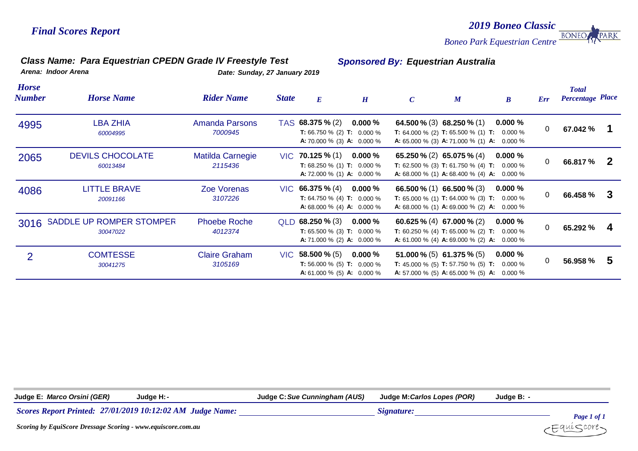### *Class Name: Para Equestrian CPEDN Grade IV Freestyle Test Sponsored By: Equestrian Australia*

*2019 Boneo Classic*

**BONEO** 

PARK

*Boneo Park Equestrian Centre*

*Arena: Indoor Arena Date: Sunday, 27 January 2019*

| <b>Horse</b><br>Number | <b>Horse Name</b>                         | <b>Rider Name</b>                  | <b>State</b> | $\boldsymbol{E}$                                                                                           | H         | $\mathcal{C}$ | $\boldsymbol{M}$                                                                                                                                                      | $\boldsymbol{B}$ | Err          | <b>Total</b><br><b>Percentage Place</b> |    |
|------------------------|-------------------------------------------|------------------------------------|--------------|------------------------------------------------------------------------------------------------------------|-----------|---------------|-----------------------------------------------------------------------------------------------------------------------------------------------------------------------|------------------|--------------|-----------------------------------------|----|
| 4995                   | LBA ZHIA<br>60004995                      | Amanda Parsons<br>7000945          |              | TAS 68.375 % (2)<br><b>T:</b> 66.750 % (2) <b>T:</b> 0.000 %<br><b>A:</b> 70.000 % (3) <b>A:</b> 0.000 %   | $0.000\%$ |               | 64.500 % (3) 68.250 % (1)<br><b>T:</b> 64.000 % (2) <b>T:</b> 65.500 % (1) <b>T:</b> 0.000 %<br><b>A:</b> 65.000 % (3) <b>A:</b> 71.000 % (1) <b>A:</b> 0.000 %       | $0.000\%$        | 0            | 67.042 %                                |    |
| 2065                   | <b>DEVILS CHOCOLATE</b><br>60013484       | <b>Matilda Carnegie</b><br>2115436 |              | $VIC$ 70.125 % (1)<br><b>T:</b> 68.250 % (1) <b>T:</b> 0.000 %<br><b>A:</b> 72.000 % (1) <b>A:</b> 0.000 % | $0.000\%$ |               | 65.250 % (2) 65.075 % (4)<br><b>T:</b> 62.500 % (3) <b>T:</b> 61.750 % (4) <b>T:</b> 0.000 %<br><b>A:</b> 68.000 % (1) <b>A:</b> 68.400 % (4) <b>A:</b> 0.000 %       | $0.000\%$        | 0            | 66.817 %                                | -2 |
| 4086                   | LITTLE BRAVE<br>20091166                  | Zoe Vorenas<br>3107226             |              | $VIC$ 66.375 % (4)<br><b>T:</b> 64.750 % (4) <b>T:</b> 0.000 %<br><b>A:</b> 68.000 % (4) <b>A:</b> 0.000 % | $0.000\%$ |               | 66.500 $\%$ (1) 66.500 $\%$ (3)<br><b>T:</b> 65.000 % (1) <b>T:</b> 64.000 % (3) <b>T:</b> 0.000 %<br><b>A:</b> 68.000 % (1) <b>A:</b> 69.000 % (2) <b>A:</b> 0.000 % | $0.000\%$        | $\mathbf{0}$ | 66.458 %                                | -3 |
|                        | 3016 SADDLE UP ROMPER STOMPER<br>30047022 | <b>Phoebe Roche</b><br>4012374     |              | $QLD$ 68.250 % (3)<br><b>T:</b> 65.500 % (3) <b>T:</b> 0.000 %<br><b>A:</b> 71.000 % (2) <b>A:</b> 0.000 % | $0.000\%$ |               | 60.625 % (4) 67.000 % (2)<br><b>T:</b> 60.250 % (4) <b>T:</b> 65.000 % (2) <b>T:</b> 0.000 %<br><b>A:</b> 61.000 % (4) <b>A:</b> 69.000 % (2) <b>A:</b> 0.000 %       | $0.000\%$        | 0            | 65.292 %                                | 4  |
| 2                      | <b>COMTESSE</b><br>30041275               | <b>Claire Graham</b><br>3105169    |              | $VIC$ 58.500 % (5)<br><b>T:</b> 56.000 % (5) <b>T:</b> 0.000 %<br><b>A:</b> 61.000 % (5) <b>A:</b> 0.000 % | $0.000\%$ |               | 51.000 % (5) 61.375 % (5)<br><b>T:</b> 45.000 % (5) <b>T:</b> 57.750 % (5) <b>T:</b> 0.000 %<br><b>A:</b> 57.000 % (5) <b>A:</b> 65.000 % (5) <b>A:</b> 0.000 %       | $0.000\%$        | 0            | 56.958 %                                | 5  |

**Judge E:** *Marco Orsini (GER)* **Judge H:***-* **Judge C:***Sue Cunningham (AUS)* **Judge M:***Carlos Lopes (POR)* **Judge B:** *-*

*27/01/2019 10:12:02 AM Judge Name: Signature: Signature:* 

*Page 1 of 1* ∶auí⊂core